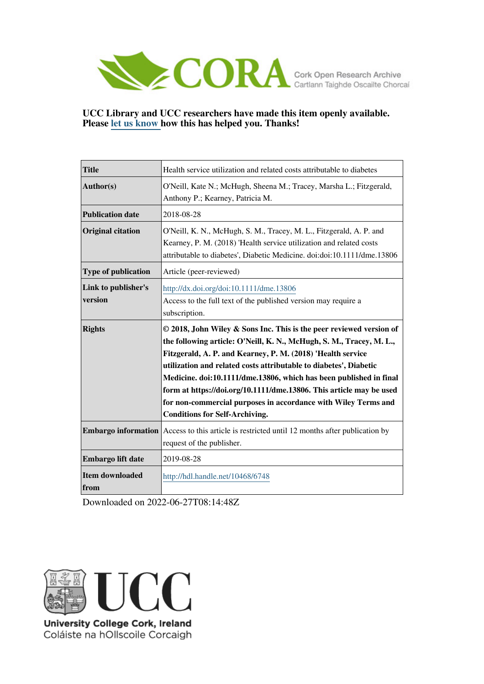

#### **UCC Library and UCC researchers have made this item openly available. Please [let us know h](https://libguides.ucc.ie/openaccess/impact?suffix=6748&title=Health service utilization and related costs attributable to diabetes)ow this has helped you. Thanks!**

| <b>Title</b>                   | Health service utilization and related costs attributable to diabetes                                                                                                                                                                                                                                                                                                                                                                                                                                                                   |  |
|--------------------------------|-----------------------------------------------------------------------------------------------------------------------------------------------------------------------------------------------------------------------------------------------------------------------------------------------------------------------------------------------------------------------------------------------------------------------------------------------------------------------------------------------------------------------------------------|--|
| Author(s)                      | O'Neill, Kate N.; McHugh, Sheena M.; Tracey, Marsha L.; Fitzgerald,<br>Anthony P.; Kearney, Patricia M.                                                                                                                                                                                                                                                                                                                                                                                                                                 |  |
| <b>Publication date</b>        | 2018-08-28                                                                                                                                                                                                                                                                                                                                                                                                                                                                                                                              |  |
| <b>Original citation</b>       | O'Neill, K. N., McHugh, S. M., Tracey, M. L., Fitzgerald, A. P. and<br>Kearney, P. M. (2018) 'Health service utilization and related costs<br>attributable to diabetes', Diabetic Medicine. doi:doi:10.1111/dme.13806                                                                                                                                                                                                                                                                                                                   |  |
| Type of publication            | Article (peer-reviewed)                                                                                                                                                                                                                                                                                                                                                                                                                                                                                                                 |  |
| Link to publisher's<br>version | http://dx.doi.org/doi:10.1111/dme.13806<br>Access to the full text of the published version may require a<br>subscription.                                                                                                                                                                                                                                                                                                                                                                                                              |  |
| <b>Rights</b>                  | © 2018, John Wiley & Sons Inc. This is the peer reviewed version of<br>the following article: O'Neill, K. N., McHugh, S. M., Tracey, M. L.,<br>Fitzgerald, A. P. and Kearney, P. M. (2018) 'Health service<br>utilization and related costs attributable to diabetes', Diabetic<br>Medicine. doi:10.1111/dme.13806, which has been published in final<br>form at https://doi.org/10.1111/dme.13806. This article may be used<br>for non-commercial purposes in accordance with Wiley Terms and<br><b>Conditions for Self-Archiving.</b> |  |
| <b>Embargo information</b>     | Access to this article is restricted until 12 months after publication by<br>request of the publisher.                                                                                                                                                                                                                                                                                                                                                                                                                                  |  |
| Embargo lift date              | 2019-08-28                                                                                                                                                                                                                                                                                                                                                                                                                                                                                                                              |  |
| <b>Item downloaded</b><br>from | http://hdl.handle.net/10468/6748                                                                                                                                                                                                                                                                                                                                                                                                                                                                                                        |  |

Downloaded on 2022-06-27T08:14:48Z



University College Cork, Ireland Coláiste na hOllscoile Corcaigh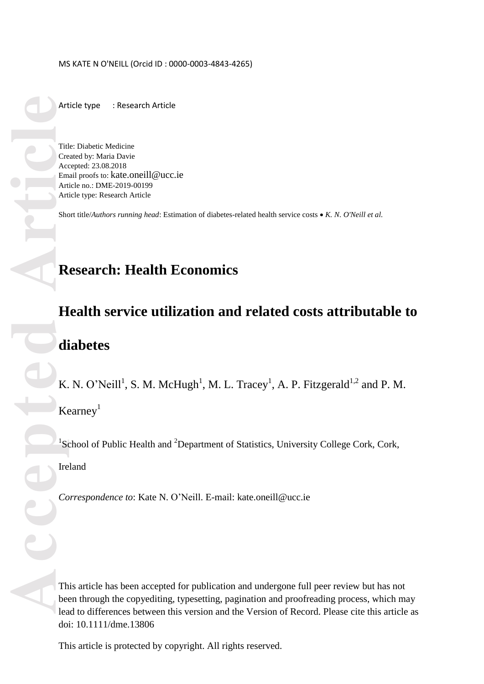Article type : Research Article

Title: Diabetic Medicine Created by: Maria Davie Accepted: 23.08.2018 Email proofs to: kate.oneill@ucc.ie Article no.: DM E -2019 -00199 Article type: Research Article

Short title/*Authors running head*: Estimation of diabetes-related health service costs • K. N. O'Neill et al.

# **Research: Health Economics**

# **Health service utili zation and related costs attributable to diabetes**

K. N. O'Neill<sup>1</sup>, S. M. McHugh<sup>1</sup>, M. L. Tracey<sup>1</sup>, A. P. Fitzgerald<sup>1,2</sup> and P. M. Kearney 1

<sup>1</sup>School of Public Health and <sup>2</sup>Department of Statistics, University College Cork, Cork, Ireland

Correspondence to: Kate N. O'Neill. E-mail: kate.oneill@ucc.ie

This article has been accepted for publication and undergone full peer review but has not been through the copyediting, typesetting, pagination and proofreading process, which may lead to differences between this version and the Version of Record. Please cite this article as doi: 10.1111/dme.13806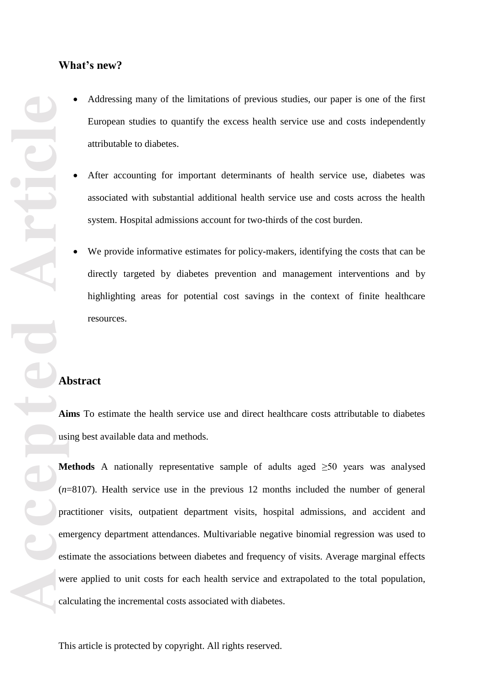### **What's new ?**

- Addressing many of the limitations of previous studies, our paper is one of the first European studies to quantify the excess health service use and costs independently attributable to diabetes.
- After accounting for important determinants of health service use, diabetes was associated with substantial additional health service use and costs across the health system. Hospital admissions account for two -thirds of the cost burden.
- We provide informative estimates for policy-makers, identifying the costs that can be directly targeted by diabetes prevention and management interventions and by highlighting areas for potential cost savings in the context of finite healthcare resources.

## **Abstract**

**Aims** To estimate the health service use and direct healthcare costs attributable to diabetes using best available data and methods.

**Methods** A nationally representative sample of adults aged ≥50 years was analysed (*n*=8107). Health service use in the previous 12 months included the number of general practitioner visits, outpatient department visits, hospital admissions, and accident and emergency department attendances. Multivariable negative binomial regression was used to estimate the associations between diabetes and frequency of visits. Average marginal effects were applied to unit costs for each health service and extrapolated to the total population, calculating the incremental costs associated with diabetes.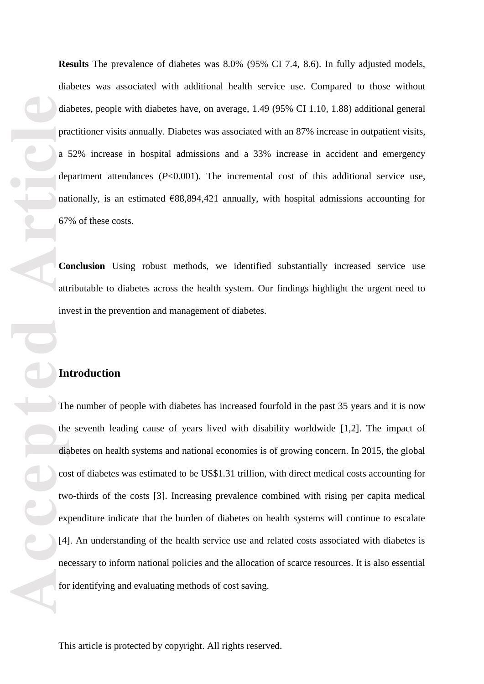**Results** The prevalence of diabetes was 8.0% (95% CI 7.4, 8.6). In fully adjusted models, diabetes was associated with additional health service use. Compared to those without diabetes, people with diabetes have , on average , 1 .49 (95% CI 1 .10 , 1 .88) additional general practitioner visits annually. Diabetes was associated with an 87% increase in outpatient visits, a 52% increase in hospital admissions and a 33% increase in accident and emergency department attendances ( *P*<0 .001). The incremental cost of this additional service use, nationally, is an estimated €88,894,421 annually, with hospital admissions accounting for 67% of these costs.

**Conclusion** Using robust methods, we identified substantially increased service use attributable to diabetes across the health system. Our findings highlight the urgent need to invest in the prevention and management of diabetes.

#### **Introduction**

dia<br>
pra<br>
a de<sub>l</sub><br>
a del<br>
mat<br>
67<br>
co att inv<br>
for<br>
att inv<br>
ex<br>
dia<br>
co:<br>
twv<br>
ex<br>
[4]<br>
ne<br>
for The number of people with diabetes has increased fourfold in the past 35 years and it is now the seventh leading cause of years lived with disability worldwide [1,2]. The impact of diabetes on health systems and national economies is of growing concern. In 2015, the global cost of diabetes was estimated to be US\$1.31 trillion, with direct medical costs accounting for two -thirds of the costs [3]. Increasing prevalence combined with rising per capita medical expenditure indicate that the burden of diabetes on health systems will continue to escalate [4]. An understanding of the health service use and related costs associated with diabetes is necessary to inform national policies and the allocation of scarce resources. It is also essential for identifying and evaluating methods of cost saving.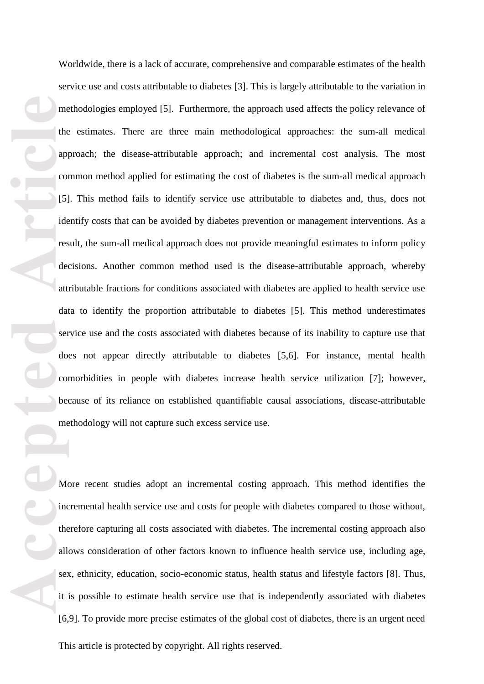me<br>
the<br>
app<br>
com<br>
(5)<br>
ide<br>
res<br>
de<br>
att<br>
dat<br>
ser<br>
do<br>
com<br>
be<br>
me<br>
Mic<br>
inte<br>
all<br>
ser<br>
inte<br>
inte<br>
inte<br>
inte<br>
inte<br>
inte<br>
inte<br>
inte<br>
inte<br>
inte<br>
inte<br>
inte<br>
inte<br>
inte<br>
inte<br>
inte<br>
inte<br>
inte<br>
inte<br>
inte<br>
inte<br>
inte<br> Worldwide, there is a lack of accurate, comprehensive and comparable estimates of the health service use and costs attributable to diabetes [ 3 ]. This is largely attributable to the variation in methodologies employed [ 5 ]. Furthermore, the approach used affects the policy relevance of the estimates. There are three main methodological approaches : the sum -all medical approach ; the disease -attributable approach ; and incremental cost analysis. The most common method applied for estimating the cost of diabetes is the sum -all medical approach [5]. This method fails to identify service use attributable to diabetes and, thus, does not identify costs that can be avoided by diabetes prevention or management interventions. As a result, the sum -all medical approach does not provide meaningful estimates to inform policy decisions. Another common method used is the disease -attributable approach, whereby attributable fractions for conditions associated with diabetes are applied to health service use data to identify the proportion attributable to diabetes [ 5 ]. This method underestimates service use and the costs associated with diabetes because of its inability to capture use that does not appear directly attributable to diabetes [5,6 ]. For instance, mental health comorbidities in people with diabetes increase health service utili zation [ 7 ]; however, because of its reliance on established quantifiable causal associations, disease -attributable methodology will not capture such excess service use.

More recent studies adopt an incremental costing approach. This method identifies the incremental health service use and costs for people with diabetes compared to those without, therefore capturing all costs associated with diabetes. The incremental costing approach also allows consideration of other factors known to influence health service use , including age, sex, ethnicity, education, socio-economic status, health status and lifestyle factors [8]. Thus, it is possible to estimate health service use that is independently associated with diabetes [6,9]. To provide more precise estimates of the global cost of diabetes, there is an urgent need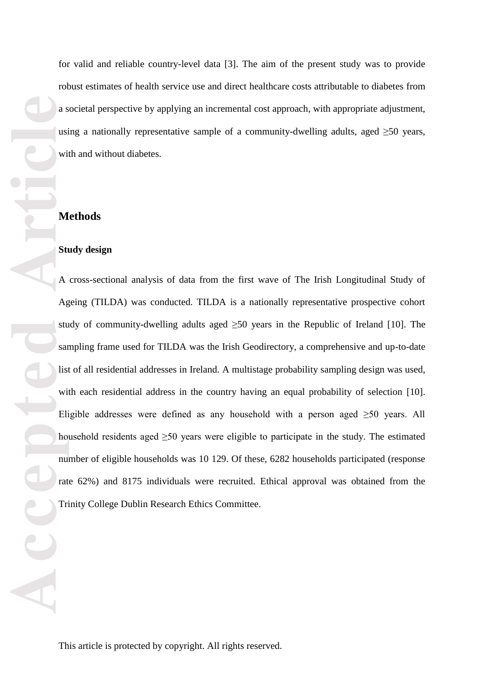for valid and reliable country -level data [ 3 ]. The aim of the present study was to provide robust estimates of health service use and direct healthcare costs attributable to diabetes from a societal perspective by applying an incremental cost approach , with appropriate adjustment , using a nationally representative sample of a community-dwelling adults, aged  $\geq 50$  years, with and without diabetes.

#### **Methods**

#### **Study design**

A cross -sectional analysis of data from the first wave of The Irish Longitudinal Study of Ageing (TILDA) was conducted. TILDA is a nationally representative prospective cohort study of community-dwelling adults aged  $\geq 50$  years in the Republic of Ireland [10]. The sampling frame used for TILDA was the Irish Geodirectory, a comprehensive and up-to-date list of all residential addresses in Ireland. A multistage probability sampling design was used, with each residential address in the country having an equal probability of selection [10]. Eligible addresses were defined as any household with a person aged  $\geq 50$  years. All household residents aged  $\geq 50$  years were eligible to participate in the study. The estimated number of eligible households was 10 129. Of these, 6282 households participated (response rate 62%) and 8175 individuals were recruited. Ethical approval was obtained from the Trinity College Dublin Research Ethics Committee.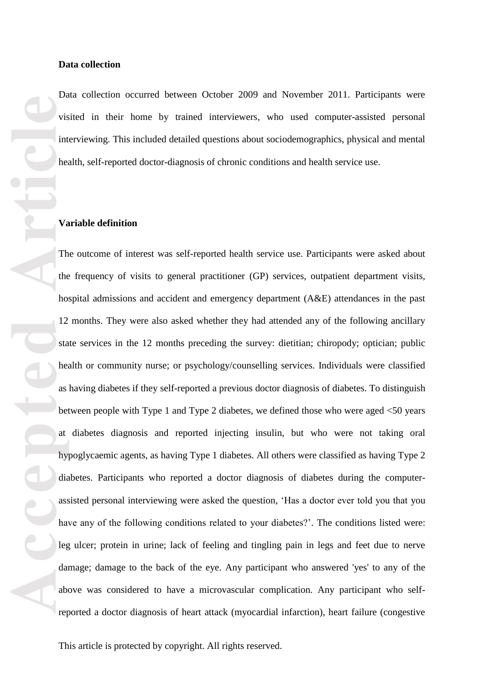Data collection occurred between October 2009 and November 2011. Participants were visited in their home by trained interviewers , who used computer -assisted personal interviewing. This included detailed questions about soci odemographics, physical and mental health, self-reported doctor -diagnosis of chronic conditions and health service use.

#### **Variable definition**

**Acceptable**<br>
Vision interviews interviews of the contract of the contract of the contract of the contract of the contract of the contract of the contract of the contract of the contract of the contract of the contract of The outcome of interest was self-reported health service use. Participants were asked about the frequency of visits to general practitioner (GP) services, outpatient department visits, hospital admissions and accident and emergency department (A&E) attendances in the past 12 months. They were also asked whether they had attended any of the following ancillary state services in the 12 months preceding the survey: dietitian; chiropody; optician; public health or community nurse ; or psychology/counselling services. Individuals were classified as having diabetes if they self-reported a previous doctor diagnosis of diabetes . To distinguish between people with Type 1 and Type 2 diabetes, we defined those who were aged <50 years at diabetes diagnosis and reported injecting insulin, but who were not taking oral hypoglycaemic agents, as having Type 1 diabetes. All others were classified as having Type 2 diabetes. Participants who reported a doctor diagnosis of diabetes during the computer assisted personal interviewing were asked the question , 'Has a doctor ever told you that you have any of the following conditions related to your diabetes?' . The conditions listed were: leg ulcer; protein in urine; lack of feeling and tingling pain in legs and feet due to nerve damage ; damage to the back of the eye. Any participant who answered 'yes' to any of the above was considered to have a microvascular complication. Any participant who self reported a doctor diagnosis of heart attack (myocardial infarction), heart failure (congestive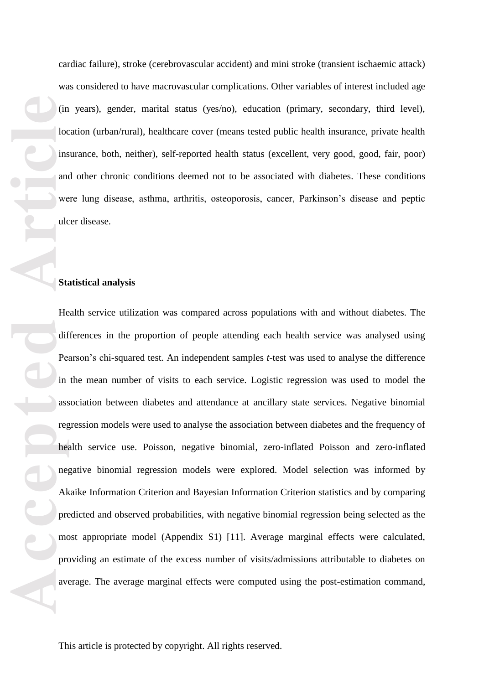cardiac failure), stroke (cerebrovascular accident) and mini stroke (transient ischaemic attack) was considered to have macrovascular complications. Other variables of interest included age (in years), gender, marital status (yes/no), education (primary, secondary, third level), location (urban/rural), healthcare cover (means tested public health insurance, private health insurance, both, neither), self-reported health status (excellent, very good, good, fair, poor) and other chronic conditions deemed not to be associated with diabetes. These conditions were lung disease, asthma, arthritis, osteoporosis, cancer, Parkinson's disease and peptic ulcer disease.

#### **Statistical analysis**

For a set of a set of a set of a set of a set of a set of a set of a set of a set of a set of a set of a set of a set of a set of a set of a set of a set of a set of a set of a set of a set of a set of a set of a set of a Health service utili zation was compared across populations with and without diabetes. The differences in the proportion of people attending each health service was analysed using Pearson's chi-squared test. An independent samples *t*-test was used to analyse the difference in the mean number of visits to each service. Logistic regression was used to model the association between diabetes and attendance at ancillary state services. Negative binomial regression models were used to analyse the association between diabetes and the frequency of health service use. Poisson, negative binomial, zero -inflated Poisson and zero -inflated negative binomial regression models were explored. Model selection was informed by Akaike Information Criterion and Bayesian Information Criterion statistics and by comparing predicted and observed probabilities, with negative binomial regression being selected as the most appropriate model (Appendix S 1) [11 ]. Average marginal effects were calculated, providing an estimate of the excess number of visits/admissions attributable to diabetes on average. The average marginal effects were computed using the post -estimation command,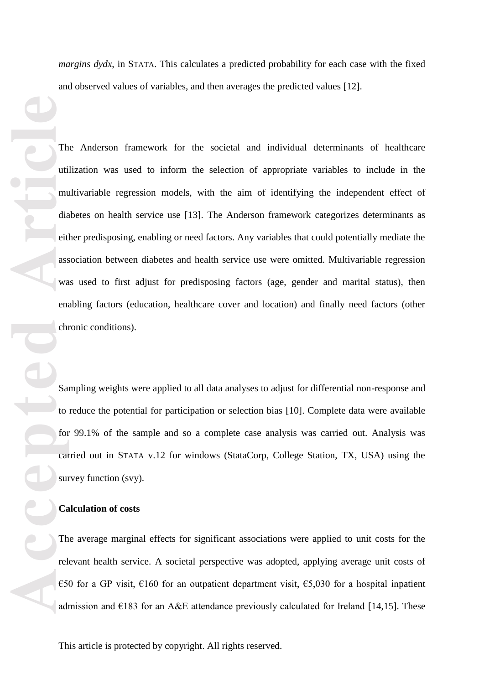*margins dydx*, in STATA. This calculates a predicted probability for each case with the fixed and observed values of variables, and then averages the predicted values [12 ].

The Minimum dia eiter assessions of the Canada and Canada and Canada and Canada and Canada and Canada and Canada and Canada and Canada and Canada and Canada and Canada and Canada and Canada and Canada and Canada and Canada The Anderson framework for the societal and individual determinants of healthcare utili zation was used to inform the selection of appropriate variables to include in the multivariable regression models, with the aim of identifying the independent effect of diabetes on health service use [13 ]. The Anderson framework categori zes determinants as either predisposing, enabling or need factors. Any variables that could potentially mediate the association between diabetes and health service use were omitted. Multivariable regression was used to first adjust for predisposing factors (age, gender and marital status), then enabling factors (education, healthcare cover and location) and finally need factors (other chronic conditions).

Sampling weights were applied to all data analyses to adjust for differential non -response and to reduce the potential for participation or selection bias [10 ]. Complete data were available for 99.1% of the sample and so a complete case analysis was carried out. Analysis was carried out in STATA v.12 for windows (StataCorp, College Station, TX, USA) using the survey function (svy).

#### **Calculation of costs**

The average marginal effects for significant associations were applied to unit costs for the relevant health service. A societal perspective was adopted, applying average unit costs of €50 for a GP visit, €160 for an outpatient department visit,  $€5,030$  for a hospital inpatient admission and  $E183$  for an A&E attendance previously calculated for Ireland [14,15]. These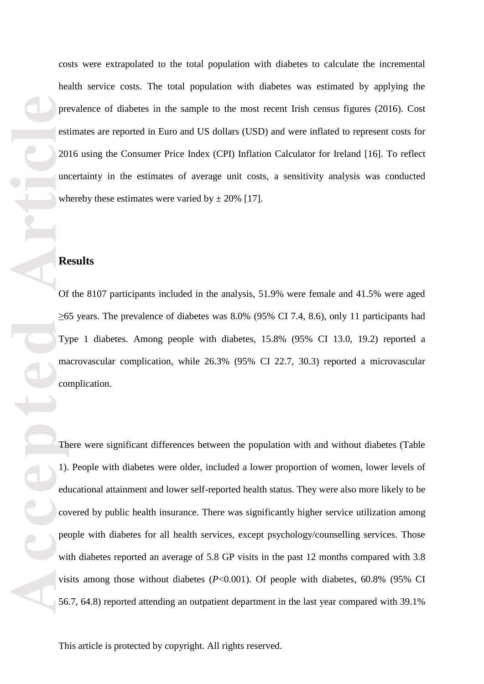costs were extrapolated to the total population with diabetes to calculate the incremental health service costs. The total population with diabetes was estimated by applying the prevalence of diabetes in the sample to the most recent Irish census figures (2016). Cost estimates are reported in Euro and US dollars (USD) and were inflated to represent costs for 2016 using the Consumer Price Index (CPI) Inflation Calculator for Ireland [16]. To reflect uncertainty in the estimates of average unit costs, a sensitivity analysis was conducted whereby these estimates were varied by  $\pm 20\%$  [17].

#### **Results**

Of the 8107 participants included in the analysis, 51.9% were female and 41.5% were aged  $\geq$ 65 years. The prevalence of diabetes was 8.0% (95% CI 7.4, 8.6), only 11 participants had Type 1 diabetes. Among people with di macrovascular complication, while 26.3% (95% CI 22.7, 30.3) reported a microvascular complication.

Predentices<br>
Predentices<br>
Articles<br>
Articles<br>
Articles<br>
Of ≥6<br>
The Corpet with the Corpet with the Corpet with the S56<br>
S6<br>
S6<br>
Articles of Predentices<br>
Articles S6<br>
The Corpet with the S56<br>
S6<br>
S6<br>
S6<br>
S6<br>
S6<br>
Naticles D There were significant differences between the population with and without diabetes (Table 1). People with diabetes were older, included a lower proportion of women, lower levels of educational attainment and lower self-reported health status. They were also more likely to be covered by public health insurance. There was significantly higher service utili zation among people with diabetes for all health services, except psychology/counselling services. Those with diabetes reported an average of 5.8 GP visits in the past 12 months compared with 3.8 visits among those without diabetes  $(P<0.001)$ . Of people with diabetes,  $60.8\%$  (95% CI 56.7, 64.8) reported attending an outpatient department in the last year compared with 39.1%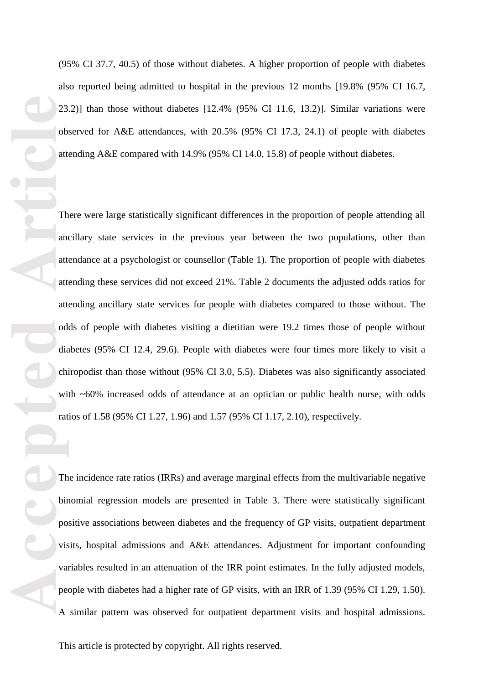also reported being admitted to hospital in the previous 12 months [19.8 % (95% CI 16.7, 23.2) ] than those without diabetes [12.4 % (95% CI 11.6, 13.2) ]. Similar variations were observed for A&E attendances, with 20.5% (95% CI 17.3, 24.1) of people with diabetes attending A&E compared with 14.9% (95% CI 14.0, 15.8) of people without diabetes .

(95% CI 37.7, 40.5) of those without diabetes. A higher proportion of people with diabetes<br>also reported being admitted to hospital in the previous 12 months [19,8% CS% CI 16.7,<br>22.2) than those without diabetes [12.4% (9 There were large statistically significant differences in the proportion of people attending all ancillary state services in the previous year between the two populations, other than attendance at a psychologist or counsellor (Table 1). The proportion of people with diabetes attending these services did not exceed 21%. Table 2 documents the adjusted odds ratios for attending ancillary state services for people with diabetes compared to those without. The odds of people with diabetes visiting a dieti tian were 19.2 times those of people without diabetes (95% CI 12.4, 29.6). People with diabetes were four times more likely to visit a chiropodist than those without (95% CI 3.0, 5. 5). Diabetes was also significantly associated with ~60% increased odds of attendance at an optician or public health nurse, with odds ratios of 1.58 (95% CI 1.27, 1.96) and 1.57 (95% CI 1.17, 2.10), respectively.

The incidence rate ratio s (IRR s) and average marginal effects from the multivariable negative binomial regression models are presented in Table 3. There were statistically significant positive associations between diabetes and the frequency of GP visits, outpatient department visits, hospital admissions and A&E attendances. Adjustment for important confounding variables resulted in an attenuation of the IRR point estimates. In the fully adjusted models, people with diabetes had a higher rate of GP visits , with an IRR of 1.39 (95% CI 1.29, 1.50). A similar pattern was observed for outpatient department visits and hospital admissions.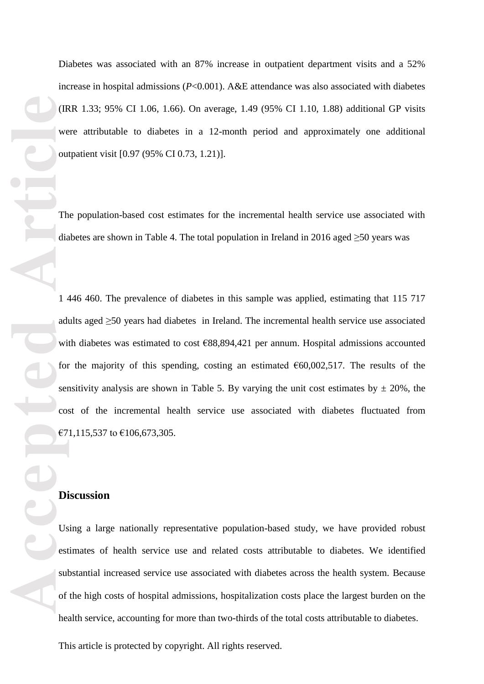Diabetes was associated with an 87% increase in outpatient department visits and a 52% increase in hospital admissions ( *P*<0.001). A&E attendance was also associated with diabetes (IRR 1.33; 95% CI 1.06, 1.66). On average, 1.49 (95% CI 1.10, 1.88) additional GP visits were attributable to diabetes in a 12 -month period and approximately one additional outpatient visit [0.97 (95% CI 0.73, 1.21 ) ].

The population -based cost estimates for the incremental health service use associated with diabetes are shown in Table 4. The total population in Ireland in 2016 aged ≥50 years was

1 446 460. The prevalence of diabetes in this sample was applied, estimating that 115 717 adults aged ≥50 years ha d diabetes in Ireland. The incremental health service use associated with diabetes was estimated to cost €88,894,421 per annum. Hospital admissions accounted for the majority of this spending, costing an estimated  $60,002,517$ . The results of the sensitivity analysis are shown in Table 5. By varying the unit cost estimates by  $\pm$  20%, the cost of the incremental health service use associated with diabetes fluctuate d from €71,115,537 to €106,673,305 .

#### **Discussion**

Using a large nationally representative population -based study, we have provide d robust estimates of health service use and related costs attributable to diabetes. We identified substantial increased service use associated with diabetes across the health system. Because of the high costs of hospital admissions, hospitali zation costs place the largest burden on the health service , accounting for more than two -thirds of the total costs attributable to diabetes.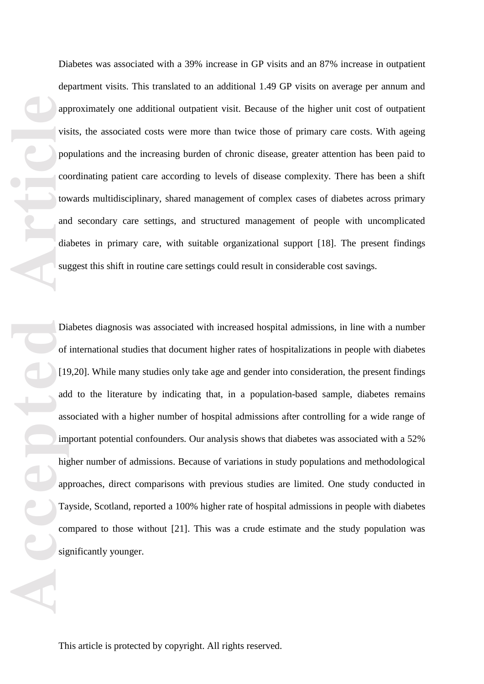Diabetes was associated with a 39% increase in GP visits and an 87% increase in outpatient department visits. This translated to an additional 1.49 GP visits on average per annum and approximately one additional outpatient visit. Because of the higher unit cost of outpatient visits, the associated costs were more than twice those of primary care costs. With ageing populations and the increasing burden of chronic disease, greater attention has been paid to coordinating patient care according to levels of disease complexity. There has been a shift towards multidisciplinary , shared management of complex cases of diabetes across primary and secondary care settings, and structured management of people with uncomplicated diabetes in primary care , with suitable organi zational support [18 ]. The present findings suggest this shift in routine care settings could result in considerable cost savings.

**Accepted Articles II Articles II Articles Co Articles and discussed and discussed and discussed and article and article and the app Ta consister and size and size and size and size and the app Ta consister and siz** Diabetes diagnosis was associated with increased hospital admissions, in line with a number of international studies that document higher rates of hospitali zations in people with diabetes [19,20]. While many studies only take age and gender into consideration, the present findings add to the literature by indicating that, in a population -based sample, diabetes remains associated with a higher number of hospital admissions after controlling for a wide range of important potential confounders. Our analysis shows that diabetes was associated with a 52% higher number of admissions. Because of variations in study populations and methodological approaches, direct comparisons with previous studies are limited. One study conducted in Tayside, Scotland, reported a 100% higher rate of hospital admissions in people with diabetes compared to those without [21 ]. This was a crude estimate and the study population was significantly younger.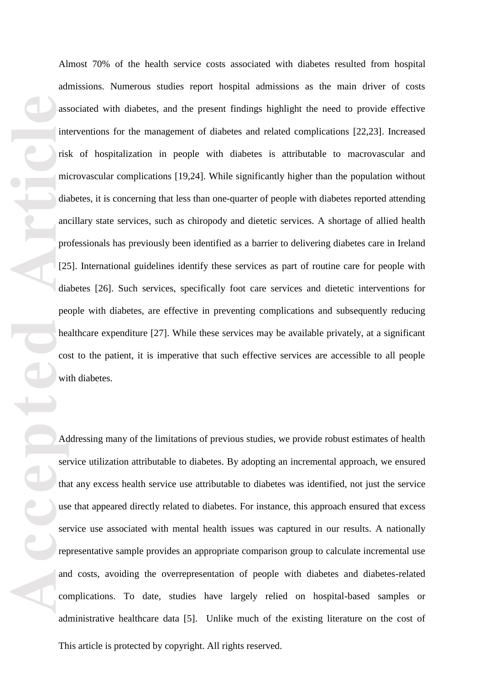**Accepted Article** Almost 70% of the health service costs associated with diabetes resulted from hospital admissions. Numerous studies report hospital admissions as the main driver of costs associated with diabetes , and the present findings highlight the need to provide effective interventions for the management of diabetes and related complications [22,23 ]. Increased risk of hospitali zation in people with diabetes is attributable to macrovascular and microvascular complications [19,24 ]. While significantly higher than the population without diabetes, it is concerning that less than one -quarter of people with diabetes reported attending ancillary state services , such as chiropody and dietetic services. A shortage of allied health professionals has previously been identified as a barrier to delivering diabetes care in Ireland [25]. International guidelines identify these services as part of routine care for people with diabetes [26 ]. Such services, specifically foot care services and dietetic interventions for people with diabetes, are effective in preventing complications and subsequently reducing healthcare expenditure [27 ]. While these services may be available privately, at a significant cost to the patient, it is imperative that such effective services are accessible to all people with diabetes.

Addressing many of the limitations of previous studies, we provide robust estimates of health service utilization attributable to diabetes. By adopting an incremental approach, we ensured that any excess health service use attributable to diabetes was identified, not just the service use that appeared directly related to diabetes. For instance, this approach ensure d that excess service use associated with mental health issues was captured in our results. A nationally representative sample provides an appropriate comparison group to calculate incremental use and costs, avoiding the overrepresentation of people with diabetes and diabetes -related complications. To date, studies have largely relied on hospital -based samples or administrative healthcare data [ 5 ]. Unlike much of the existing literature on the cost of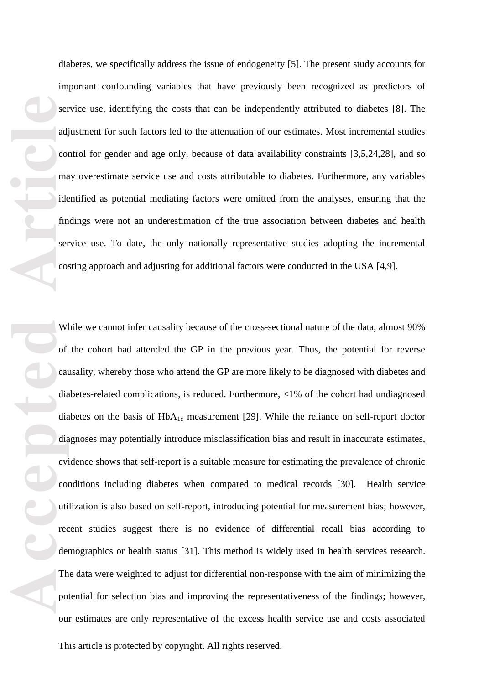diabetes, we specifically address the issue of endogeneity [ 5 ]. The present study accounts for important confounding variables that have previously been recogni zed as predictors of service use, identifying the costs that can be independently attributed to diabetes [ 8 ]. The adjustment for such factors led to the attenuation of our estimates. Most incremental studies control for gender and age only , because of data availability constraints [3,5,24,28 ], and so may overestimate service use and costs attributable to diabetes. Furthermore, any variables identified as potential mediating factors were omitted from the analyses , ensuring that the findings were not an underestimation of the true association between diabetes and health service use. To date, the only nationally representative studies adopting the incremental costing approach and adjusting for additional factors were conducted in the USA [4,9 ].

**Accepted Accepted Article**<br> **Accepted Article**<br> **Accepted Article**<br> **Article**<br> **Article**<br> **Article**<br> **Article**<br> **Article**<br> **Article**<br> **Article**<br> **Article**<br> **Article**<br> **Article**<br> **Article**<br> **Article**<br> **Article**<br> **A** While we cannot infer causality because of the cross -sectional nature of the data, almost 90% of the cohort had attended the GP in the previous year. Thus, the potential for reverse causality , whereby those who attend the GP are more likely to be diagnosed with diabetes and diabetes -related complications , is reduced. Furthermore, <1% of the cohort had undiagnosed diabetes on the basis of  $HbA_{1c}$  measurement [29]. While the reliance on self-report doctor diagnoses may potentially introduce misclassification bias and result in inaccurate estimates, evidence shows that self -report is a suitable measure for estimating the prevalence of chronic conditions including diabetes when compared to medical records [30 ]. Health service utili zation is also based on self-report , introducing potential for measurement bias ; however, recent studies suggest there is no evidence of differential recall bias according to demographics or health status [31 ]. This method is widely used in health services research. The data were weighted to adjust for differential non -response with the aim of minimizing the potential for selection bias and improving the representativeness of the findings; however, our estimates are only representative of the excess health service use and costs associated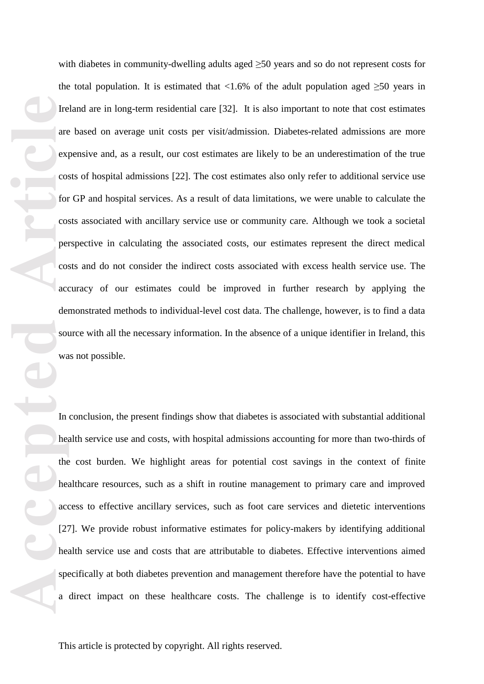The articles are the contract of the contract of the contract of the contract of the contract of the contract of the contract of the special contract of the special contract of the special contract of the special contract with diabetes in community-dwelling adults aged ≥50 years and so do not represent costs for the total population. It is estimated that <1.6% of the adult population aged  $\geq 50$  years in Ireland are in long-term residential care [32]. It is also important to note that cost estimates are based on average unit costs per visit/admission. Diabetes -related admissions are more expensive and , as a result , our cost estimates are likely to be an underestimation of the true costs of hospital admissions [22 ] . The cost estimates also only refer to additional service use for GP and hospital services. As a result of data limitations, we were unable to calculate the costs associated with ancillary service use or community care. Although we took a societal perspective in calculating the associated costs, our estimates represent the direct medical costs and do not consider the indirect costs associated with excess health service use. The accuracy of our estimates could be improved in further research by applying the demonstrated methods to individual -level cost data. The challenge, however, is to find a data source with all the necessary information. In the absence of a unique identifier in Ireland, this was not possible.

In conclusion, the present findings show that diabetes is associated with substantial additional health service use and costs, with hospital admissions accounting for more than two-thirds of the cost burden. We highlight areas for potential cost savings in the context of finite healthcare resources, such as a shift in routine management to primary care and improved access to effective ancillary services , such as foot care services and dietetic interventions [27 ]. We provide robust informative estimates for policy -makers by identifying additional health service use and costs that are attributable to diabetes. Effective interventions aimed specifically at both diabetes prevention and management therefore have the potential to have a direct impact on these healthcare costs. The challenge is to identify cost -effective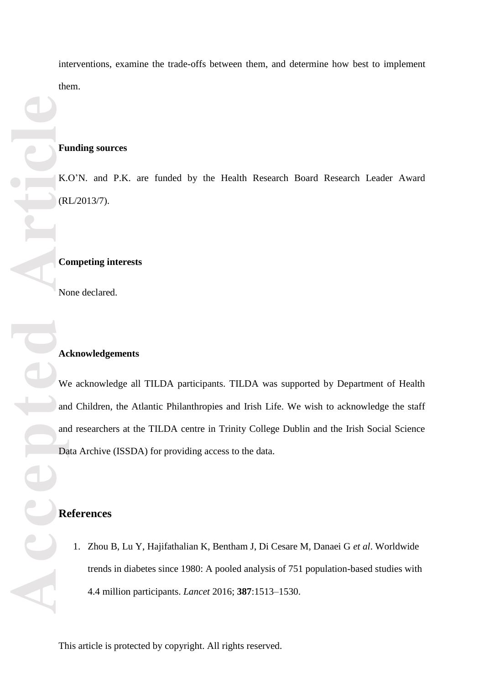**Excession Contracts Accessible Article Accessible Article Accessible Article** (RL/2013/7). None declared. **References**

interventions, examine the trade -offs between them , and determine how best to implement them.

#### **Funding sources**

K.O'N. and P.K . are funded by the Health Research Board Research Leader Award

#### **Competing interests**

#### **Acknowledgements**

We acknowledge all TILDA participants. TILDA was supported by Department of Health and Children, the Atlantic Philanthropies and Irish Life. We wish to acknowledge the staff and researchers at the TILDA centre in Trinity College Dublin and the Irish Social Science Data Archive (ISSDA) for providing access to the data.

1. Zhou B, Lu Y, Hajifathalian K, Bentham J, Di Cesare M, Danaei G *et al*. Worldwide trends in diabetes since 1980: A pooled analysis of 751 population -based studies with 4.4 million participants. *Lancet* 2016; **387**:1513 –1530.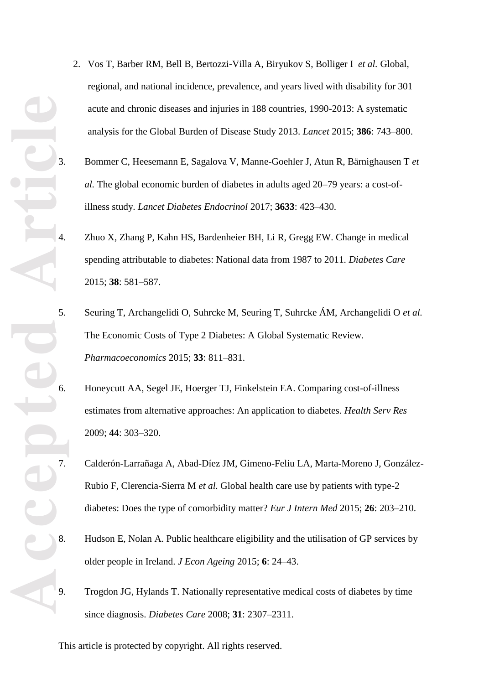- 2. Vos T, Barber RM, Bell B, Bertozzi -Villa A, Biryukov S, Bolliger I *et al.* Global, regional, and national incidence, prevalence, and years lived with disability for 301 acute and chronic diseases and injuries in 188 countries, 1990 -2013: A systematic analysis for the Global Burden of Disease Study 2013. *Lancet* 2015; **386** : 743 –800.
- 3. Bommer C, Heesemann E, Sagalova V, Manne -Goehler J, Atun R, Bärnighausen T *et*  al. The global economic burden of diabetes in adults aged 20–79 years: a cost-ofillness study. *Lancet Diabetes Endocrinol* 2017; **3633**: 423–430.
	- 4. Zhuo X, Zhang P, Kahn HS, Bardenheier BH, Li R, Gregg EW. Change in medical spending attributable to diabetes: National data from 1987 to 2011. *Diabetes Care* 2015; **38** : 581 –587.
- 5. Seuring T, Archangelidi O, Suhrcke M, Seuring T, Suhrcke ÁM, Archangelidi O *et al.* The Economic Costs of Type 2 Diabetes: A Global Systematic Review. *Pharmacoeconomics* 2015; **33** : 811 – 831.
- 6. Honeycutt AA, Segel JE, Hoerger TJ, Finkelstein EA. Comparing cost -of-illness estimates from alternative approaches: An application to diabetes. *Health Serv Res* 2009; **44** : 303 – 320.
- 7. Calderón -Larrañaga A, Abad -Díez JM, Gimeno -Feliu LA, Marta -Moreno J, González Rubio F, Clerencia-Sierra M et al. Global health care use by patients with type-2 diabetes: Does the type of comorbidity matter? *Eur J Intern Med* 2015; 26: 203-210.
- 8. Hudson E, Nolan A. Public healthcare eligibility and the utilisation of GP services by older people in Ireland. *J Econ Ageing* 2015; **6** : 24 –43.
- 9. Trogdon JG, Hylands T. Nationally representative medical costs of diabetes by time since diagnosis. *Diabetes Care* 2008; **31** : 2307 –2311.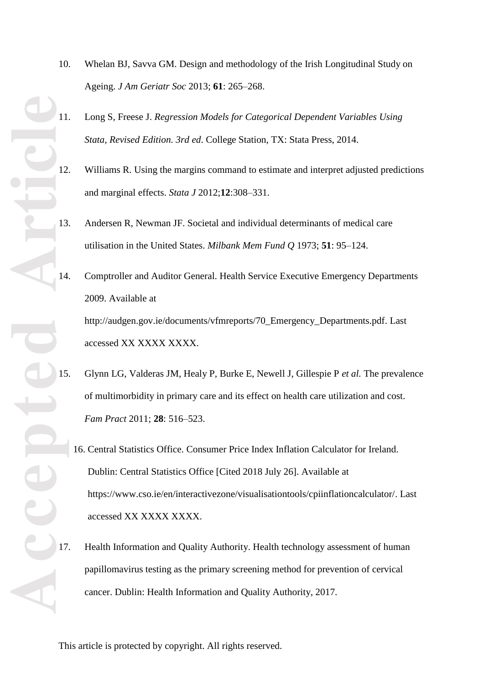- Accepted Article
- 10. Whelan BJ, Savva GM. Design and methodology of the Irish Longitudinal Study on Ageing. *J Am Geriatr Soc* 2013; **61** : 265 –268.
	- 11. Long S, Freese J. *Regression Models for Categorical Dependent Variables Using Stata, Revised Edition. 3rd ed*. College Station, TX: Stata Press , 2014.
	- 12. Williams R. Using the margins command to estimate and interpret adjusted predictions and marginal effects. *Stata J* 2012;**12**:308 – 331.
	- 13. Andersen R, Newman JF. Societal and individual determinants of medical care utilisation in the United States. *Milbank Mem Fund Q* 1973; **51** : 95 –124.
	- 14. Comptroller and Auditor General. Health Service Executive Emergency Departments 2009. Available at http://audgen.gov.ie/documents/vfmreports/70\_Emergency\_Departments.pdf. Last accessed XX XXXX XXXX .
	- 15. Glynn LG, Valderas JM, Healy P, Burke E, Newell J, Gillespie P *et al.* The prevalence of multimorbidity in primary care and its effect on health care utilization and cost. *Fam Pract* 2011; **28** : 516 – 523.
		- 16. Central Statistics Office. Consumer Price Index Inflation Calculator for Ireland. Dublin: Central Statistics Office [Cited 2018 July 26]. Available at https://www.cso.ie/en/interactivezone/visualisationtools/cpiinflationcalculator/. Last accessed XX XXXX XXXX .
	- 17. Health Information and Quality Authority. Health technology assessment of human papillomavirus testing as the primary screening method for prevention of cervical cancer. Dublin: Health Information and Quality Authority, 2017.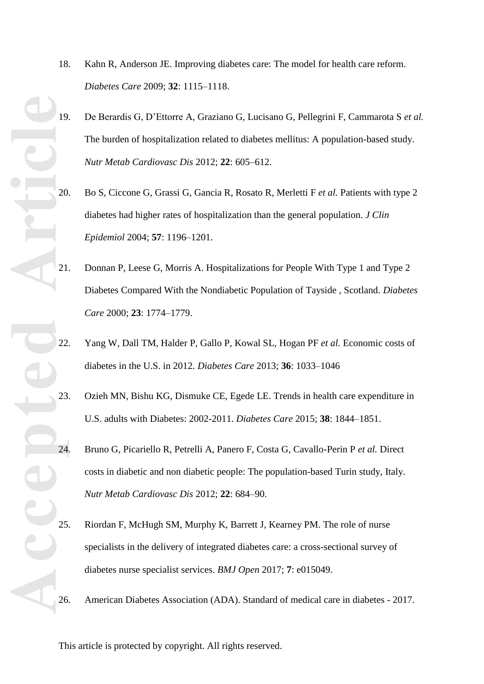- **Accepted** 23<br> **Accepted** 24<br>
24<br>
25<br>
25<br>
26<br>
26
- 18. Kahn R, Anderson JE. Improving diabetes care: The model for health care reform. *Diabetes Care* 2009; **32**: 1115 –1118.
	- 19. De Berardis G, D'Ettorre A, Graziano G, Lucisano G, Pellegrini F, Cammarota S *et al.* The burden of hospitalization related to diabetes mellitus: A population -based study. *Nutr Metab Cardiovasc Dis* 2012; **22** : 605 – 612.
	- 20. Bo S, Ciccone G, Grassi G, Gancia R, Rosato R, Merletti F *et al.* Patients with type 2 diabetes had higher rates of hospitalization than the general population. *J Clin Epidemiol* 2004; **57** : 1196 – 1201.
	- 21. Donnan P, Leese G, Morris A. Hospitalizations for People With Type 1 and Type 2 Diabetes Compared With the Nondiabetic Population of Tayside , Scotland. *Diabetes Care* 2000; **23** : 1774 –1779.
	- 22. Yang W, Dall TM, Halder P, Gallo P, Kowal SL, Hogan PF *et al.* Economic costs of diabetes in the U.S. in 2012. *Diabetes Care* 2013; **36** : 1033 –1046
	- 23. Ozieh MN, Bishu KG, Dismuke CE, Egede LE. Trends in health care expenditure in U.S. adults with Diabetes: 2002 -2011. *Diabetes Care* 2015; **38** : 1844 –1851.
	- 24. Bruno G, Picariello R, Petrelli A, Panero F, Costa G, Cavallo -Perin P *et al.* Direct costs in diabetic and non diabetic people: The population -based Turin study, Italy. *Nutr Metab Cardiovasc Dis* 2012; **22** : 684 –90.
	- 25. Riordan F, McHugh SM, Murphy K, Barrett J, Kearney PM. The role of nurse specialists in the delivery of integrated diabetes care: a cross -sectional survey of diabetes nurse specialist services. *BMJ Open* 2017; **7**: e015049.
	- 26. American Diabetes Association (ADA). Standard of medical care in diabetes 2017.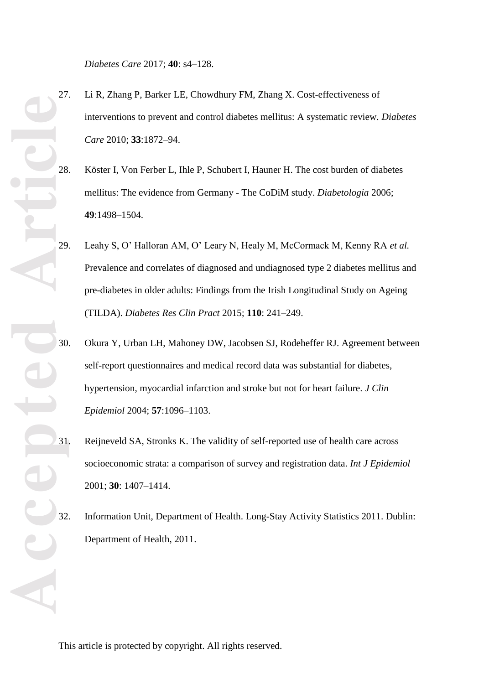*Diabetes Care* 2017; **40** : s4 –128.

- 27. Li R, Zhang P, Barker LE, Chowdhury FM, Zhang X. Cost-effectiveness of interventions to prevent and control diabetes mellitus: A systematic review*. Diabetes Care* 2010; **33**:1872 –94.
- 28. Köster I, Von Ferber L, Ihle P, Schubert I, Hauner H. The cost burden of diabetes mellitus: The evidence from Germany - The CoDiM study. *Diabetologia* 2006; **49**:1498 – 1504.
- 29. Leahy S, O' Halloran AM, O' Leary N, Healy M, McCormack M, Kenny RA *et al.* Prevalence and correlates of diagnosed and undiagnosed type 2 diabetes mellitus and pre -diabetes in older adults: Findings from the Irish Longitudinal Study on Ageing (TILDA). *Diabetes Res Clin Pract* 2015; **110** : 241 –249.
- 30. Okura Y, Urban LH, Mahoney DW, Jacobsen SJ, Rodeheffer RJ. Agreement between self-report questionnaires and medical record data was substantial for diabetes, hypertension, myocardial infarction and stroke but not for heart failure. *J Clin Epidemiol* 2004; **57**:1096 – 1103.
- 31. Reijneveld S A, Stronks K. The validity of self-reported use of health care across socioeconomic strata: a comparison of survey and registration data. *Int J Epidemiol* 2001; **3 0** : 1407 –1414.
- 32. Information Unit, Department of Health. Long -Stay Activity Statistics 2011. Dublin: Department of Health, 2011 .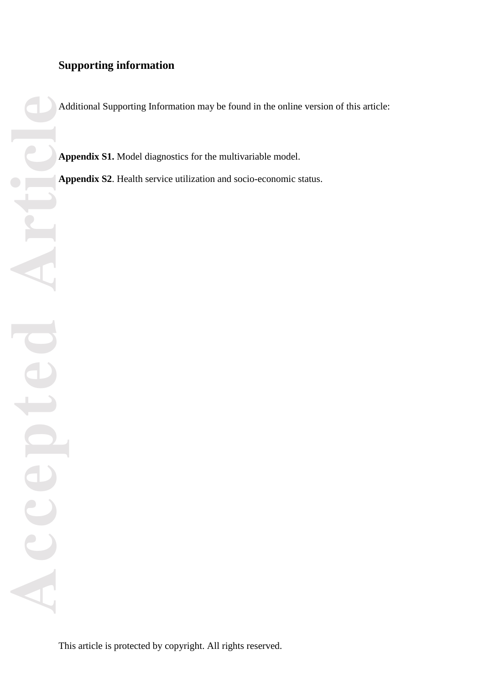# **Supporting information**

Additional Supporting Information may be found in the online version of this article:

**Appendix S1.** Model diagnostics for the multivariable model.

Appendix S2. Health service utilization and socio-economic status.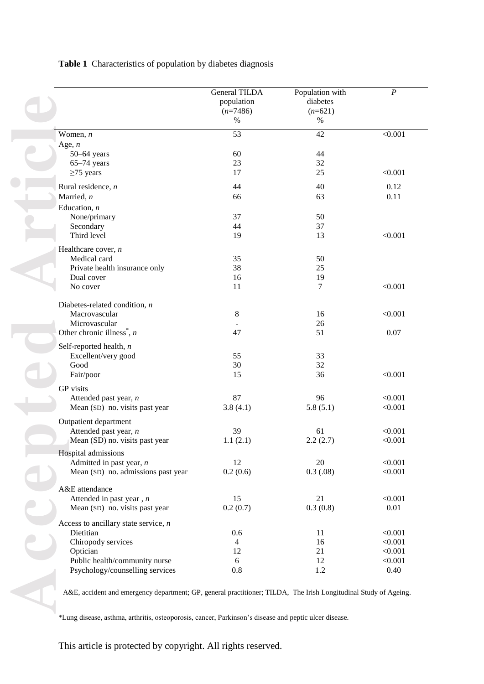#### **Table 1** Characteristics of population by diabetes diagnosis

|                                                                    | <b>General TILDA</b><br>population<br>$(n=7486)$<br>$\%$ | Population with<br>diabetes<br>$(n=621)$<br>$\%$ | $\boldsymbol{P}$ |
|--------------------------------------------------------------------|----------------------------------------------------------|--------------------------------------------------|------------------|
| Women, $n$                                                         | 53                                                       | 42                                               | < 0.001          |
| Age, $n$                                                           |                                                          |                                                  |                  |
| $50 - 64$ years                                                    | 60                                                       | 44                                               |                  |
| $65-74$ years                                                      | 23                                                       | 32                                               |                  |
| $\geq$ 75 years                                                    | 17                                                       | 25                                               | < 0.001          |
| Rural residence, $n$                                               | 44                                                       | 40                                               | 0.12             |
| Married, n                                                         | 66                                                       | 63                                               | 0.11             |
| Education, $n$                                                     |                                                          |                                                  |                  |
| None/primary                                                       | 37                                                       | 50                                               |                  |
| Secondary                                                          | 44                                                       | 37                                               |                  |
| Third level                                                        | 19                                                       | 13                                               | < 0.001          |
| Healthcare cover, $n$                                              |                                                          |                                                  |                  |
| Medical card                                                       | 35                                                       | 50                                               |                  |
| Private health insurance only                                      | 38                                                       | 25                                               |                  |
| Dual cover                                                         | 16                                                       | 19                                               |                  |
| No cover                                                           | 11                                                       | 7                                                | < 0.001          |
| Diabetes-related condition, $n$                                    |                                                          |                                                  |                  |
| Macrovascular                                                      | 8                                                        | 16                                               | < 0.001          |
| Microvascular                                                      |                                                          | 26                                               |                  |
| Other chronic illness <sup><math>\check{h}</math></sup> , <i>n</i> | 47                                                       | 51                                               | 0.07             |
| Self-reported health, $n$                                          |                                                          |                                                  |                  |
| Excellent/very good                                                | 55                                                       | 33                                               |                  |
| Good                                                               | 30                                                       | 32                                               |                  |
| Fair/poor                                                          | 15                                                       | 36                                               | < 0.001          |
| GP visits                                                          |                                                          |                                                  |                  |
| Attended past year, $n$                                            | 87                                                       | 96                                               | < 0.001          |
| Mean (SD) no. visits past year                                     | 3.8(4.1)                                                 | 5.8(5.1)                                         | < 0.001          |
| Outpatient department                                              |                                                          |                                                  |                  |
| Attended past year, n                                              | 39                                                       | 61                                               | < 0.001          |
| Mean (SD) no. visits past year                                     | 1.1(2.1)                                                 | 2.2(2.7)                                         | < 0.001          |
| Hospital admissions                                                |                                                          |                                                  |                  |
| Admitted in past year, $n$                                         | 12                                                       | 20                                               | < 0.001          |
| Mean (SD) no. admissions past year                                 | 0.2(0.6)                                                 | 0.3(0.08)                                        | < 0.001          |
| A&E attendance                                                     |                                                          |                                                  |                  |
| Attended in past year, $n$                                         | 15                                                       | 21                                               | < 0.001          |
| Mean (SD) no. visits past year                                     | 0.2(0.7)                                                 | 0.3(0.8)                                         | 0.01             |
| Access to ancillary state service, $n$                             |                                                          |                                                  |                  |
| Dietitian                                                          | 0.6                                                      | 11                                               | < 0.001          |
| Chiropody services                                                 | 4                                                        | 16                                               | < 0.001          |
| Optician                                                           | 12                                                       | 21                                               | < 0.001          |
| Public health/community nurse                                      | 6                                                        | 12                                               | < 0.001          |
| Psychology/counselling services                                    | 0.8                                                      | 1.2                                              | 0.40             |

\*Lung disease, asthma, arthritis, osteoporosis, cancer, Parkinson's disease and peptic ulcer disease .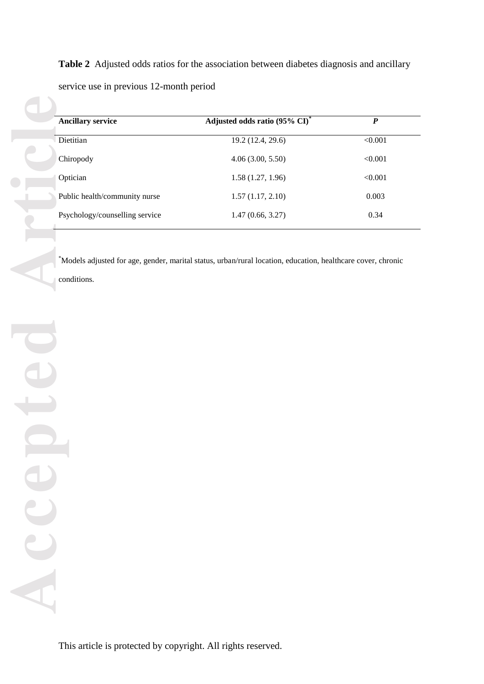**Table 2** Adjusted odds ratios for the association between diabetes diagnosis and ancillary service use in previous 12 -month period

| <b>Ancillary service</b>       | Adjusted odds ratio (95% CI)*                                                                                | $\overline{P}$ |
|--------------------------------|--------------------------------------------------------------------------------------------------------------|----------------|
| Dietitian                      | 19.2(12.4, 29.6)                                                                                             | $\leq 0.001$   |
| Chiropody                      | 4.06(3.00, 5.50)                                                                                             | < 0.001        |
| Optician                       | 1.58(1.27, 1.96)                                                                                             | < 0.001        |
| Public health/community nurse  | 1.57(1.17, 2.10)                                                                                             | 0.003          |
| Psychology/counselling service | 1.47(0.66, 3.27)                                                                                             | 0.34           |
|                                |                                                                                                              |                |
|                                | *Models adjusted for age, gender, marital status, urban/rural location, education, healthcare cover, chronic |                |
| conditions.                    |                                                                                                              |                |
|                                |                                                                                                              |                |
|                                |                                                                                                              |                |
|                                |                                                                                                              |                |
|                                |                                                                                                              |                |
|                                |                                                                                                              |                |
| Œ                              |                                                                                                              |                |
|                                |                                                                                                              |                |
|                                |                                                                                                              |                |
|                                |                                                                                                              |                |
|                                |                                                                                                              |                |
|                                |                                                                                                              |                |
|                                |                                                                                                              |                |
|                                |                                                                                                              |                |
|                                |                                                                                                              |                |
| D                              |                                                                                                              |                |
| L                              |                                                                                                              |                |
|                                |                                                                                                              |                |
|                                |                                                                                                              |                |
|                                |                                                                                                              |                |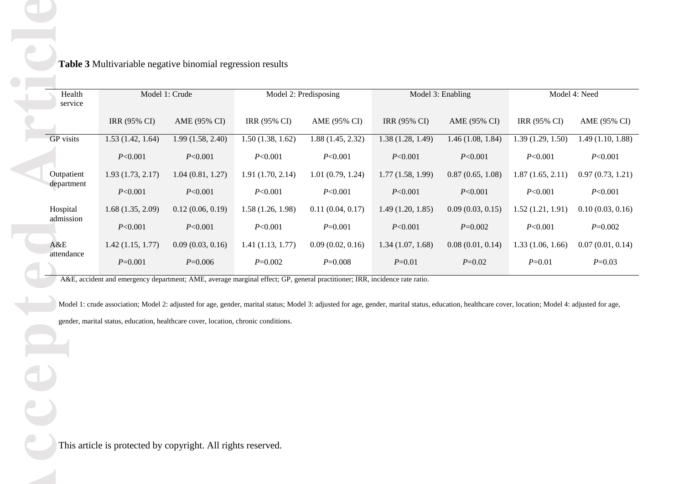|                  |                                                                                                                                                                                                                                                                                           | Model 1: Crude   |                  | Model 2: Predisposing |                     | Model 3: Enabling |                  | Model 4: Need    |
|------------------|-------------------------------------------------------------------------------------------------------------------------------------------------------------------------------------------------------------------------------------------------------------------------------------------|------------------|------------------|-----------------------|---------------------|-------------------|------------------|------------------|
| service          | <b>IRR (95% CI)</b>                                                                                                                                                                                                                                                                       | AME (95% CI)     | IRR (95% CI)     | AME (95% CI)          | <b>IRR (95% CI)</b> | AME (95% CI)      | IRR (95% CI)     | AME (95% CI)     |
| <b>GP</b> visits | 1.53(1.42, 1.64)                                                                                                                                                                                                                                                                          | 1.99(1.58, 2.40) | 1.50(1.38, 1.62) | 1.88(1.45, 2.32)      | 1.38(1.28, 1.49)    | 1.46(1.08, 1.84)  | 1.39(1.29, 1.50) | 1.49(1.10, 1.88) |
|                  | P<0.001                                                                                                                                                                                                                                                                                   | P<0.001          | P<0.001          | P<0.001               | P<0.001             | P<0.001           | P<0.001          | P<0.001          |
| Outpatient       | 1.93(1.73, 2.17)                                                                                                                                                                                                                                                                          | 1.04(0.81, 1.27) | 1.91(1.70, 2.14) | 1.01(0.79, 1.24)      | 1.77(1.58, 1.99)    | 0.87(0.65, 1.08)  | 1.87(1.65, 2.11) | 0.97(0.73, 1.21) |
| department       | P<0.001                                                                                                                                                                                                                                                                                   | P<0.001          | P<0.001          | P<0.001               | P<0.001             | P<0.001           | P<0.001          | P<0.001          |
| Hospital         | 1.68(1.35, 2.09)                                                                                                                                                                                                                                                                          | 0.12(0.06, 0.19) | 1.58(1.26, 1.98) | 0.11(0.04, 0.17)      | 1.49(1.20, 1.85)    | 0.09(0.03, 0.15)  | 1.52(1.21, 1.91) | 0.10(0.03, 0.16) |
| admission        | P<0.001                                                                                                                                                                                                                                                                                   | P<0.001          | P<0.001          | $P=0.001$             | P<0.001             | $P=0.002$         | P<0.001          | $P = 0.002$      |
| A&E              | 1.42(1.15, 1.77)                                                                                                                                                                                                                                                                          | 0.09(0.03, 0.16) | 1.41(1.13, 1.77) | 0.09(0.02, 0.16)      | 1.34(1.07, 1.68)    | 0.08(0.01, 0.14)  | 1.33(1.06, 1.66) | 0.07(0.01, 0.14) |
| attendance       | $P = 0.001$                                                                                                                                                                                                                                                                               | $P = 0.006$      | $P=0.002$        | $P=0.008$             | $P = 0.01$          | $P=0.02$          | $P = 0.01$       | $P=0.03$         |
|                  | Model 1: crude association; Model 2: adjusted for age, gender, marital status; Model 3: adjusted for age, gender, marital status, education, healthcare cover, location; Model 4: adjusted for age,<br>gender, marital status, education, healthcare cover, location, chronic conditions. |                  |                  |                       |                     |                   |                  |                  |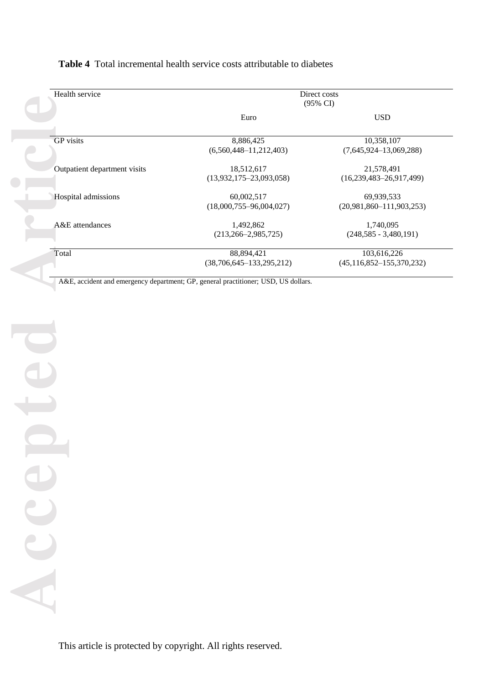| Health service               | Direct costs<br>$(95\% \text{ CI})$ |                                  |  |
|------------------------------|-------------------------------------|----------------------------------|--|
|                              | Euro                                | <b>USD</b>                       |  |
| <b>GP</b> visits             | 8,886,425                           | 10,358,107                       |  |
|                              | $(6,560,448-11,212,403)$            | $(7,645,924-13,069,288)$         |  |
| Outpatient department visits | 18,512,617                          | 21,578,491                       |  |
|                              | $(13,932,175-23,093,058)$           | $(16,239,483-26,917,499)$        |  |
| Hospital admissions          | 60,002,517                          | 69,939,533                       |  |
|                              | $(18,000,755 - 96,004,027)$         | $(20,981,860 - 111,903,253)$     |  |
| A&E attendances              | 1,492,862                           | 1,740,095                        |  |
|                              | $(213, 266 - 2, 985, 725)$          | $(248,585 - 3,480,191)$          |  |
| Total                        | 88,894,421                          | 103,616,226                      |  |
|                              | $(38,706,645-133,295,212)$          | $(45, 116, 852 - 155, 370, 232)$ |  |

#### **Table 4** Total incremental health service costs attributable to diabetes

A&E, accident and emergency department; GP, general practitioner; USD, US dollars.

**Accepted Article** Accepted